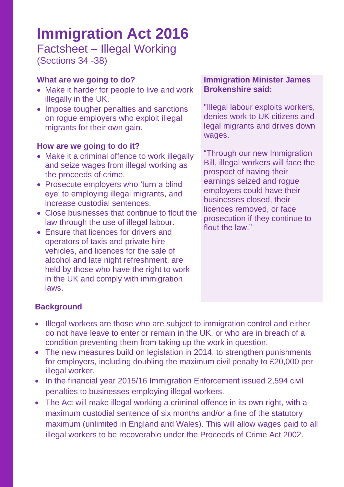# **Immigration Act 2016**

Factsheet – Illegal Working (Sections 34 -38)

# **What are we going to do?**

- Make it harder for people to live and work illegally in the UK.
- Impose tougher penalties and sanctions on rogue employers who exploit illegal migrants for their own gain.

### **How are we going to do it?**

- Make it a criminal offence to work illegally and seize wages from illegal working as the proceeds of crime.
- Prosecute employers who 'turn a blind eye' to employing illegal migrants, and increase custodial sentences.
- Close businesses that continue to flout the law through the use of illegal labour.
- Ensure that licences for drivers and operators of taxis and private hire vehicles, and licences for the sale of alcohol and late night refreshment, are held by those who have the right to work in the UK and comply with immigration laws.

#### **Immigration Minister James Brokenshire said:**

"Illegal labour exploits workers, denies work to UK citizens and legal migrants and drives down wages.

"Through our new Immigration Bill, illegal workers will face the prospect of having their earnings seized and rogue employers could have their businesses closed, their licences removed, or face prosecution if they continue to flout the law."

# **Background**

- Illegal workers are those who are subject to immigration control and either do not have leave to enter or remain in the UK, or who are in breach of a condition preventing them from taking up the work in question.
- The new measures build on legislation in 2014, to strengthen punishments for employers, including doubling the maximum civil penalty to £20,000 per illegal worker.
- In the financial year 2015/16 Immigration Enforcement issued 2,594 civil penalties to businesses employing illegal workers.
- The Act will make illegal working a criminal offence in its own right, with a maximum custodial sentence of six months and/or a fine of the statutory maximum (unlimited in England and Wales). This will allow wages paid to all illegal workers to be recoverable under the Proceeds of Crime Act 2002.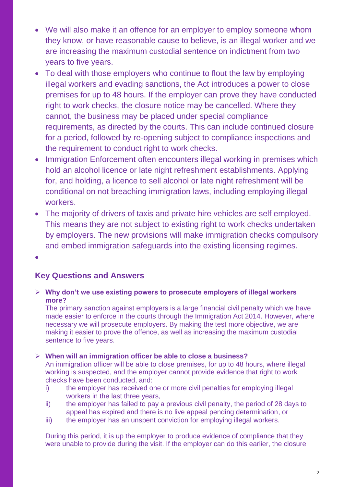- We will also make it an offence for an employer to employ someone whom they know, or have reasonable cause to believe, is an illegal worker and we are increasing the maximum custodial sentence on indictment from two years to five years.
- To deal with those employers who continue to flout the law by employing illegal workers and evading sanctions, the Act introduces a power to close premises for up to 48 hours. If the employer can prove they have conducted right to work checks, the closure notice may be cancelled. Where they cannot, the business may be placed under special compliance requirements, as directed by the courts. This can include continued closure for a period, followed by re-opening subject to compliance inspections and the requirement to conduct right to work checks.
- Immigration Enforcement often encounters illegal working in premises which hold an alcohol licence or late night refreshment establishments. Applying for, and holding, a licence to sell alcohol or late night refreshment will be conditional on not breaching immigration laws, including employing illegal workers.
- The majority of drivers of taxis and private hire vehicles are self employed. This means they are not subject to existing right to work checks undertaken by employers. The new provisions will make immigration checks compulsory and embed immigration safeguards into the existing licensing regimes.

 $\bullet$ 

#### **Key Questions and Answers**

 **Why don't we use existing powers to prosecute employers of illegal workers more?**

The primary sanction against employers is a large financial civil penalty which we have made easier to enforce in the courts through the Immigration Act 2014. However, where necessary we will prosecute employers. By making the test more objective, we are making it easier to prove the offence, as well as increasing the maximum custodial sentence to five years.

#### **When will an immigration officer be able to close a business?**

An immigration officer will be able to close premises, for up to 48 hours, where illegal working is suspected, and the employer cannot provide evidence that right to work checks have been conducted, and:

- i) the employer has received one or more civil penalties for employing illegal workers in the last three years,
- ii) the employer has failed to pay a previous civil penalty, the period of 28 days to appeal has expired and there is no live appeal pending determination, or
- iii) the employer has an unspent conviction for employing illegal workers.

During this period, it is up the employer to produce evidence of compliance that they were unable to provide during the visit. If the employer can do this earlier, the closure